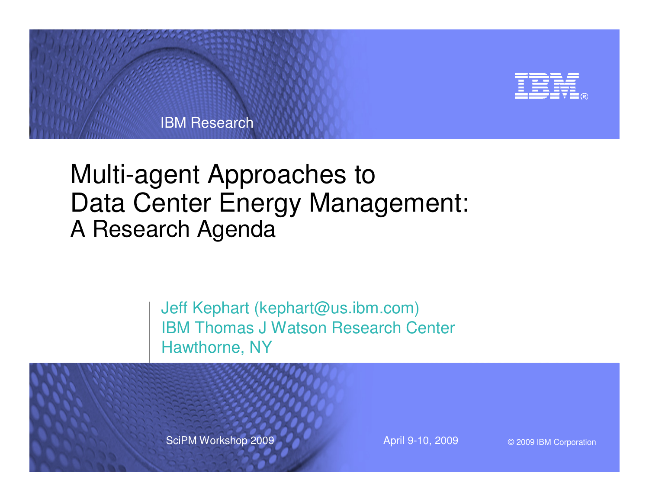

# Multi-agent Approaches to Data Center Energy Management:A Research Agenda

Jeff Kephart (kephart@us.ibm.com) IBM Thomas J Watson Research CenterHawthorne, NY

SciPM Workshop 2009 April 9-10, 2009

© 2009 IBM Corporation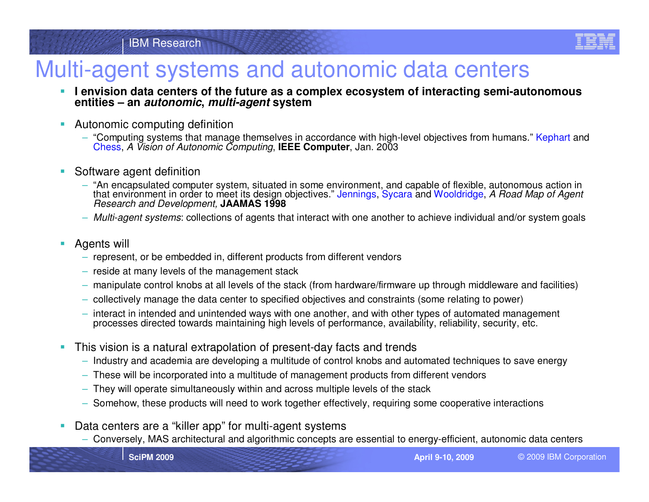

### Multi-agent systems and autonomic data centers

- **I envision data centers of the future as a complex ecosystem of interacting semi-autonomous** ⊔ **entities – an autonomic, multi-agent system**
- ⊔ Autonomic computing definition
	- "Computing systems that manage themselves in accordance with high-level objectives from humans." Kephart and<br>Chase A Vision of Autonomic Computing **IEEE Computer**, les 2002 Chess, A Vision of Autonomic Computing, **IEEE Computer**, Jan. 2003
- $\overline{\phantom{a}}$  Software agent definition
	- "An encapsulated computer system, situated in some environment, and capable of flexible, autonomous action in that environment in order to meet its design objectives." Jennings, Sycara and Wooldridge, *A Road Map of Agent*<br>*Research and Development,* **JAAMAS 1998 Research and Development, JAAMAS 1998**
	- Multi-agent systems: collections of agents that interact with one another to achieve individual and/or system goals
- П Agents will
	- represent, or be embedded in, different products from different vendors
	- reside at many levels of the management stack
	- –manipulate control knobs at all levels of the stack (from hardware/firmware up through middleware and facilities)
	- collectively manage the data center to specified objectives and constraints (some relating to power)
	- $-$  interact in intended and unintended ways with one another, and with other types of automated management  $\frac{1}{2}$ processes directed towards maintaining high levels of performance, availability, reliability, security, etc.
- ш This vision is a natural extrapolation of present-day facts and trends
	- Industry and academia are developing a multitude of control knobs and automated techniques to save energy
	- These will be incorporated into a multitude of management products from different vendors
	- They will operate simultaneously within and across multiple levels of the stack
	- Somehow, these products will need to work together effectively, requiring some cooperative interactions
- $\mathcal{L}_{\mathcal{A}}$  Data centers are a "killer app" for multi-agent systems
	- Conversely, MAS architectural and algorithmic concepts are essential to energy-efficient, autonomic data centers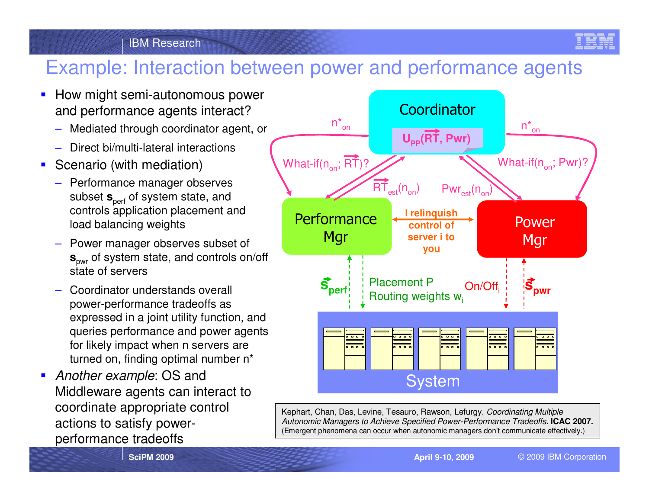

#### IBM Research

### Example: Interaction between power and performance agents

- **How might semi-autonomous power** and performance agents interact?
	- Mediated through coordinator agent, or
	- Direct bi/multi-lateral interactions
- **Scenario (with mediation)** 
	- Performance manager observes subset  $\mathbf{s}_{\mathrm{perf}}$  of system state, and controls application placement and load balancing weights
	- Power manager observes subset of **<sup>s</sup>**pwr of system state, and controls on/off state of servers
	- Coordinator understands overall power-performance tradeoffs as expressed in a joint utility function, and queries performance and power agents for likely impact when n servers are turned on, finding optimal number n<sup>\*</sup>
- **Another example: OS and** Middleware agents can interact to coordinate appropriate control actions to satisfy powerperformance tradeoffs



Kephart, Chan, Das, Levine, Tesauro, Rawson, Lefurgy. Coordinating Multiple Autonomic Managers to Achieve Specified Power-Performance Tradeoffs. **ICAC 2007.**(Emergent phenomena can occur when autonomic managers don't communicate effectively.)